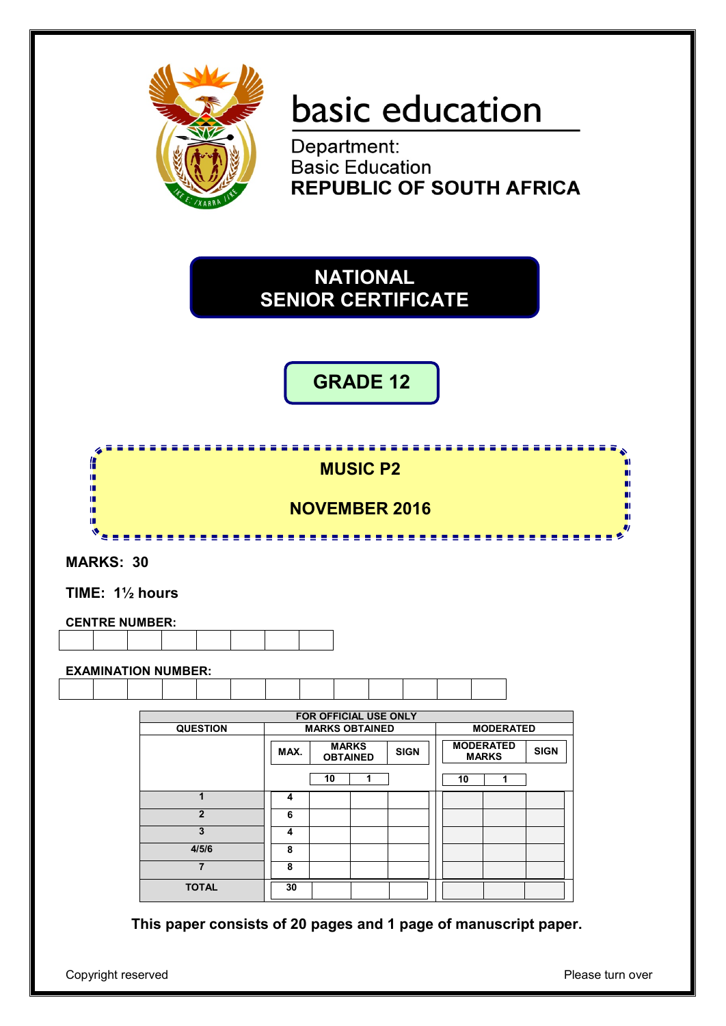

# basic education

Department: **Basic Education REPUBLIC OF SOUTH AFRICA** 

**NATIONAL SENIOR CERTIFICATE**

**GRADE 12**

Æ **MUSIC P2** П ņ, ш 'n ш 'n **NOVEMBER 2016**  $\mathbf{v}_{\mathbf{z}=\mathbf{z}}$ -------------. . . . . .

**MARKS: 30**

**TIME: 1½ hours**

**CENTRE NUMBER:**

**EXAMINATION NUMBER:**

|                 |      | <b>FOR OFFICIAL USE ONLY</b>    |   |             |    |                                  |             |  |
|-----------------|------|---------------------------------|---|-------------|----|----------------------------------|-------------|--|
| <b>QUESTION</b> |      | <b>MARKS OBTAINED</b>           |   |             |    | <b>MODERATED</b>                 |             |  |
|                 | MAX. | <b>MARKS</b><br><b>OBTAINED</b> |   | <b>SIGN</b> |    | <b>MODERATED</b><br><b>MARKS</b> | <b>SIGN</b> |  |
|                 |      | 10                              | 1 |             | 10 | 1                                |             |  |
| 1               | 4    |                                 |   |             |    |                                  |             |  |
| $\mathbf{2}$    | 6    |                                 |   |             |    |                                  |             |  |
| 3               | 4    |                                 |   |             |    |                                  |             |  |
| 4/5/6           | 8    |                                 |   |             |    |                                  |             |  |
| $\overline{7}$  | 8    |                                 |   |             |    |                                  |             |  |
| <b>TOTAL</b>    | 30   |                                 |   |             |    |                                  |             |  |

**This paper consists of 20 pages and 1 page of manuscript paper.**

Copyright reserved **Please** turn over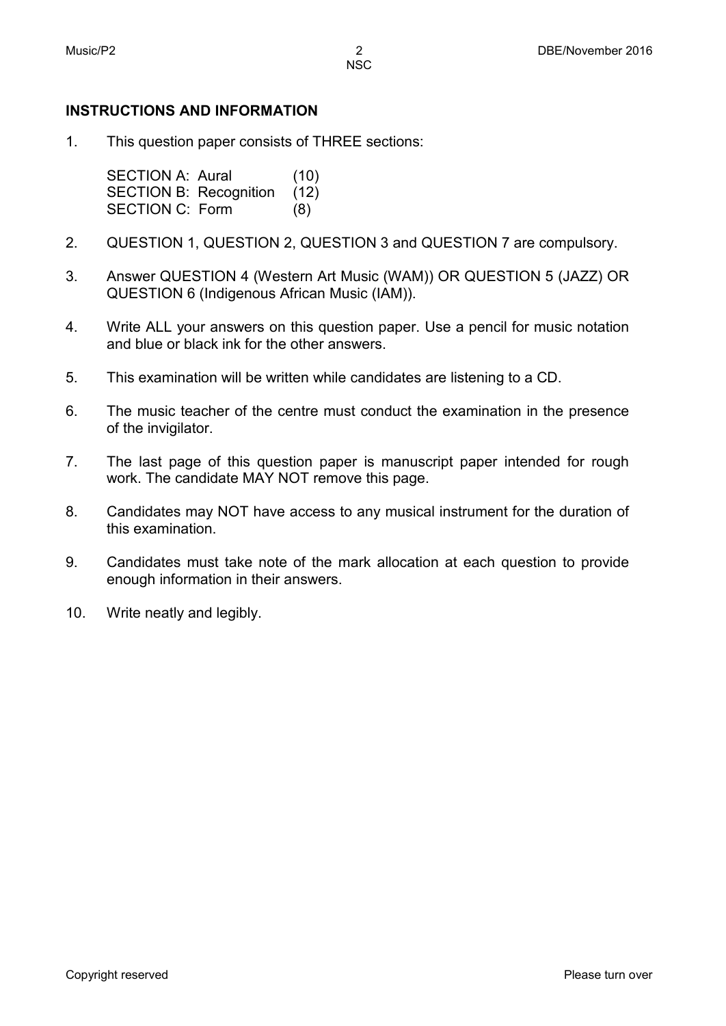# **INSTRUCTIONS AND INFORMATION**

1. This question paper consists of THREE sections:

> SECTION A: Aural (10) SECTION B: Recognition (12) SECTION C: Form (8)

- 2. QUESTION 1, QUESTION 2, QUESTION 3 and QUESTION 7 are compulsory.
- 3. Answer QUESTION 4 (Western Art Music (WAM)) OR QUESTION 5 (JAZZ) OR QUESTION 6 (Indigenous African Music (IAM)).
- 4. Write ALL your answers on this question paper. Use a pencil for music notation and blue or black ink for the other answers.
- 5. This examination will be written while candidates are listening to a CD.
- 6. The music teacher of the centre must conduct the examination in the presence of the invigilator.
- 7. The last page of this question paper is manuscript paper intended for rough work. The candidate MAY NOT remove this page.
- 8. Candidates may NOT have access to any musical instrument for the duration of this examination.
- 9. Candidates must take note of the mark allocation at each question to provide enough information in their answers.
- 10. Write neatly and legibly.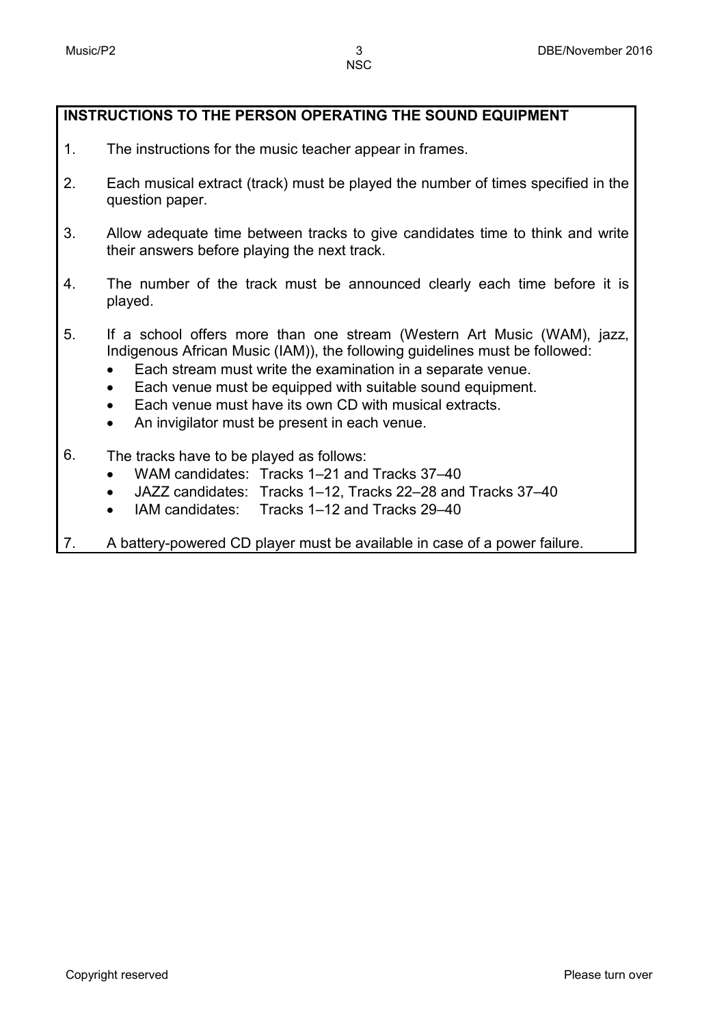# **INSTRUCTIONS TO THE PERSON OPERATING THE SOUND EQUIPMENT**

- 1. The instructions for the music teacher appear in frames.
- 2. Each musical extract (track) must be played the number of times specified in the question paper.
- 3. Allow adequate time between tracks to give candidates time to think and write their answers before playing the next track.
- 4. The number of the track must be announced clearly each time before it is played.
- 5. If a school offers more than one stream (Western Art Music (WAM), jazz, Indigenous African Music (IAM)), the following guidelines must be followed:
	- Each stream must write the examination in a separate venue.
	- Each venue must be equipped with suitable sound equipment.
	- Each venue must have its own CD with musical extracts.
	- An invigilator must be present in each venue.
- 6. The tracks have to be played as follows:
	- WAM candidates: Tracks 1–21 and Tracks 37–40
	- JAZZ candidates: Tracks 1–12, Tracks 22–28 and Tracks 37–40
	- IAM candidates: Tracks 1–12 and Tracks 29–40
- 7. A battery-powered CD player must be available in case of a power failure.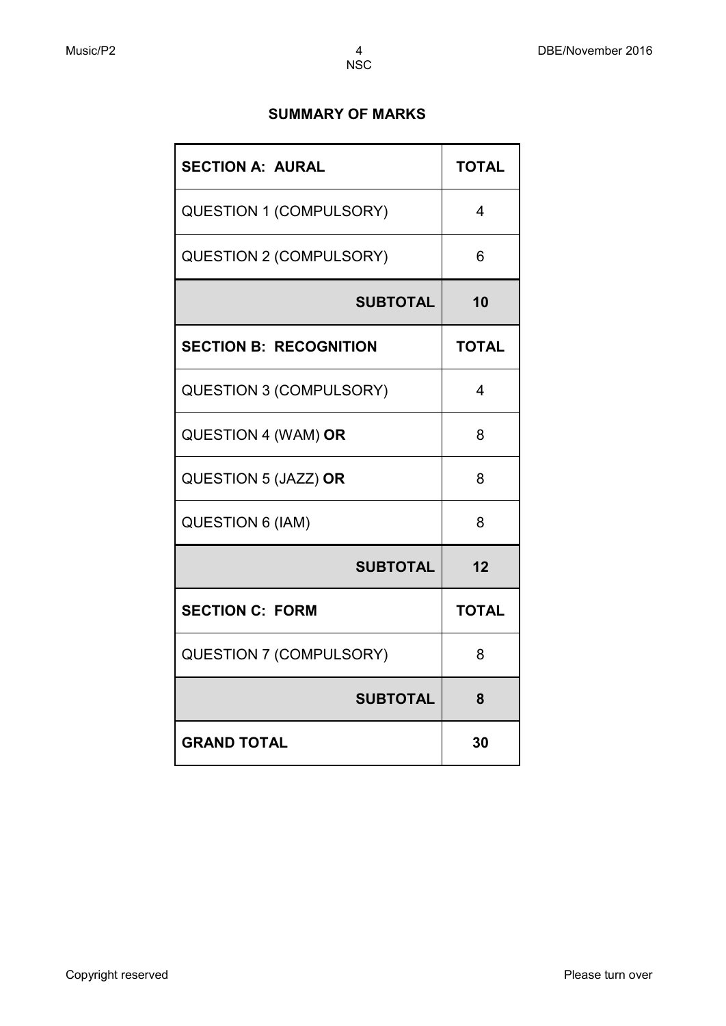# **SUMMARY OF MARKS**

| <b>SECTION A: AURAL</b>        | <b>TOTAL</b> |
|--------------------------------|--------------|
| <b>QUESTION 1 (COMPULSORY)</b> | 4            |
| <b>QUESTION 2 (COMPULSORY)</b> | 6            |
| <b>SUBTOTAL</b>                | 10           |
| <b>SECTION B: RECOGNITION</b>  | <b>TOTAL</b> |
| <b>QUESTION 3 (COMPULSORY)</b> | 4            |
| QUESTION 4 (WAM) OR            | 8            |
| QUESTION 5 (JAZZ) OR           | 8            |
| QUESTION 6 (IAM)               | 8            |
| <b>SUBTOTAL</b>                | 12           |
| <b>SECTION C: FORM</b>         | <b>TOTAL</b> |
| <b>QUESTION 7 (COMPULSORY)</b> | 8            |
| <b>SUBTOTAL</b>                | 8            |
| <b>GRAND TOTAL</b>             | 30           |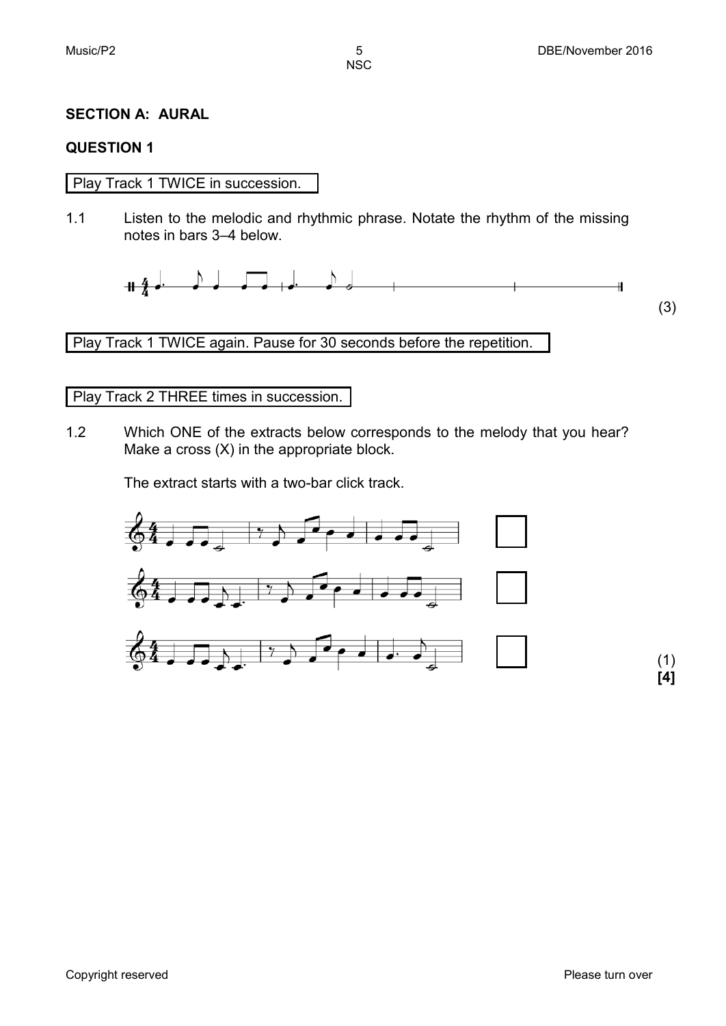(3)

**NSC** 

# **SECTION A: AURAL**

### **QUESTION 1**

# Play Track 1 TWICE in succession.

1.1 Listen to the melodic and rhythmic phrase. Notate the rhythm of the missing notes in bars 3–4 below.

 $+4$  $\overline{\mathbf{H}}$ 

Play Track 1 TWICE again. Pause for 30 seconds before the repetition.

### Play Track 2 THREE times in succession.

1.2 Which ONE of the extracts below corresponds to the melody that you hear? Make a cross (X) in the appropriate block.

The extract starts with a two-bar click track.

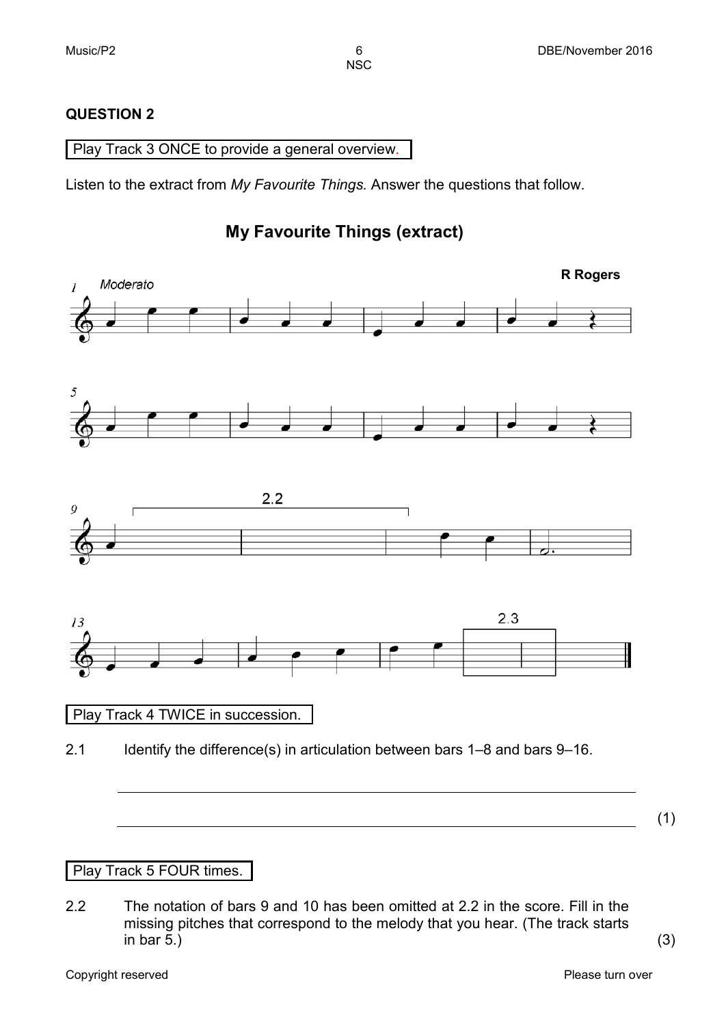# **QUESTION 2**

Play Track 3 ONCE to provide a general overview.

Listen to the extract from *My Favourite Things.* Answer the questions that follow.

# **My Favourite Things (extract)**



# Play Track 5 FOUR times.

2.2 The notation of bars 9 and 10 has been omitted at 2.2 in the score. Fill in the missing pitches that correspond to the melody that you hear. (The track starts in bar 5.) in bar 5.)  $(3)$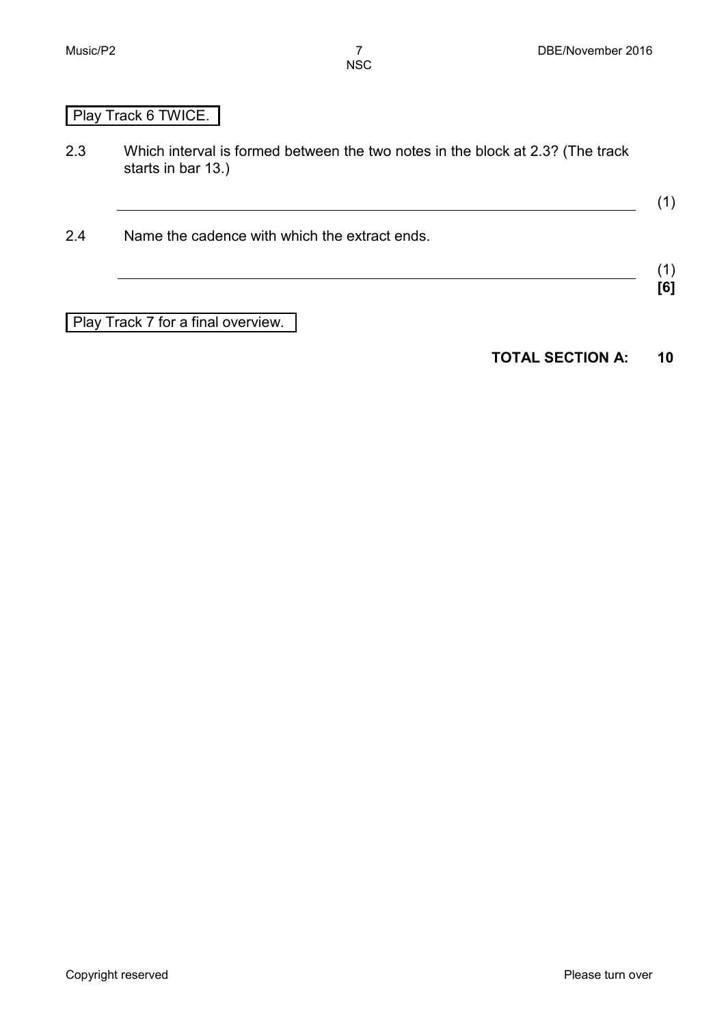(1)

(1) **[6]**

NSC

# Play Track 6 TWICE.

- 2.3 Which interval is formed between the two notes in the block at 2.3? (The track starts in bar 13.)
- 2.4 Name the cadence with which the extract ends.

Play Track 7 for a final overview.

# **TOTAL SECTION A: 10**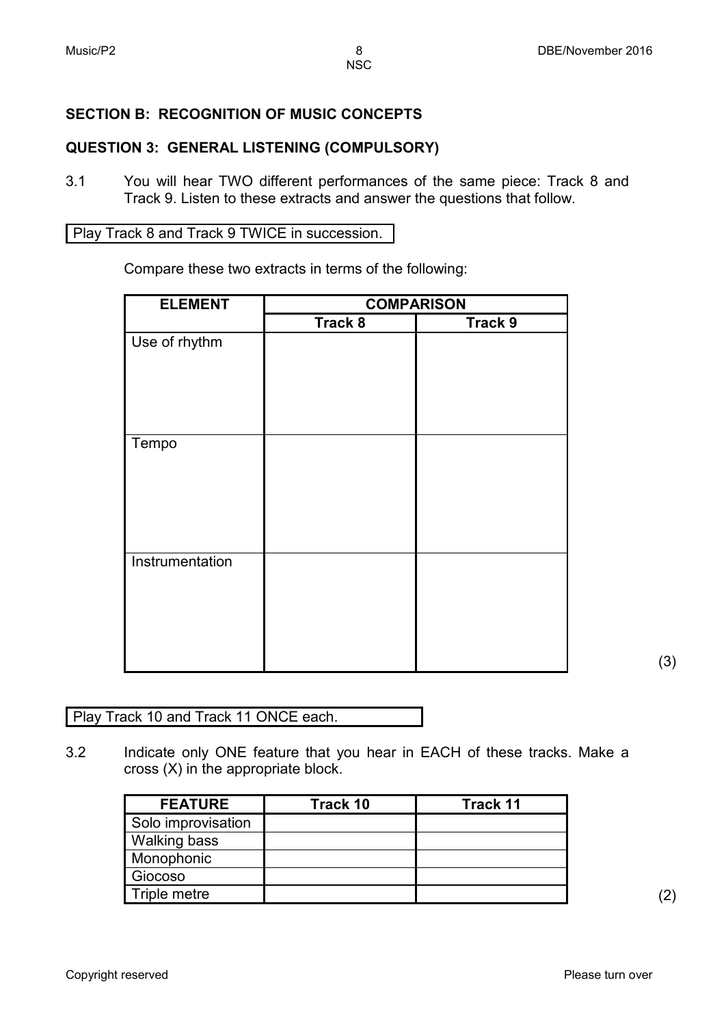# **SECTION B: RECOGNITION OF MUSIC CONCEPTS**

# **QUESTION 3: GENERAL LISTENING (COMPULSORY)**

3.1 You will hear TWO different performances of the same piece: Track 8 and Track 9. Listen to these extracts and answer the questions that follow.

Play Track 8 and Track 9 TWICE in succession.

Compare these two extracts in terms of the following:

| <b>ELEMENT</b>  |         | <b>COMPARISON</b> |
|-----------------|---------|-------------------|
|                 | Track 8 | Track 9           |
| Use of rhythm   |         |                   |
|                 |         |                   |
| Tempo           |         |                   |
| Instrumentation |         |                   |

(3)

Play Track 10 and Track 11 ONCE each.

3.2 Indicate only ONE feature that you hear in EACH of these tracks. Make a cross (X) in the appropriate block.

| <b>FEATURE</b>      | Track 10 | <b>Track 11</b> |
|---------------------|----------|-----------------|
| Solo improvisation  |          |                 |
| <b>Walking bass</b> |          |                 |
| Monophonic          |          |                 |
| Giocoso             |          |                 |
| Triple metre        |          |                 |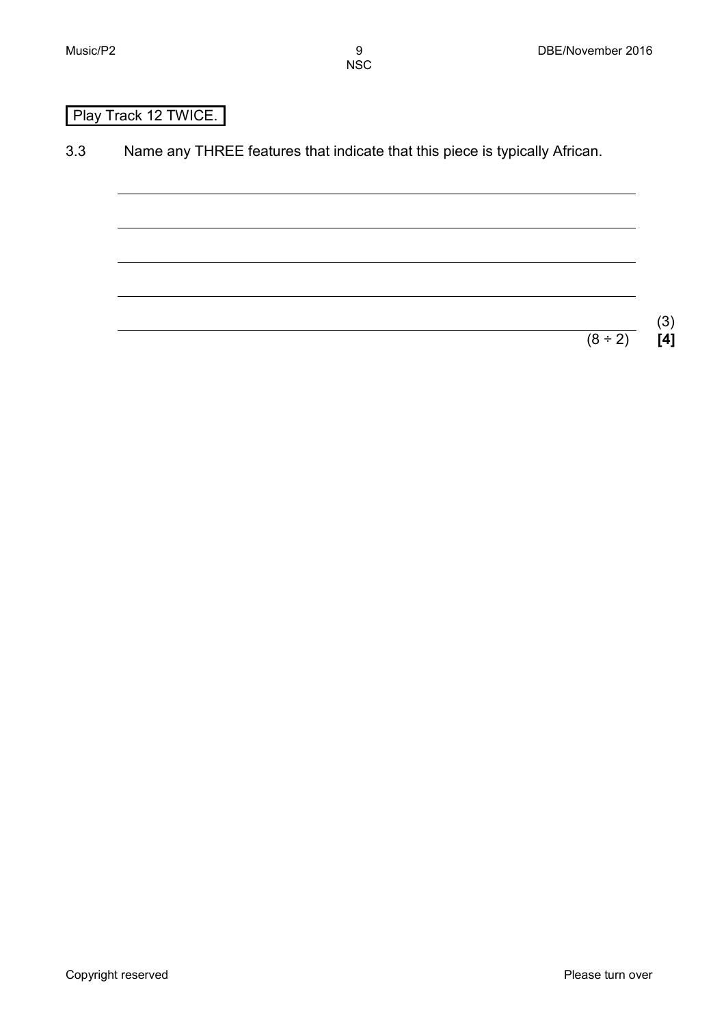# Play Track 12 TWICE.

3.3 Name any THREE features that indicate that this piece is typically African.

 $(3)$ <br>[4]

 $(8 \div 2)$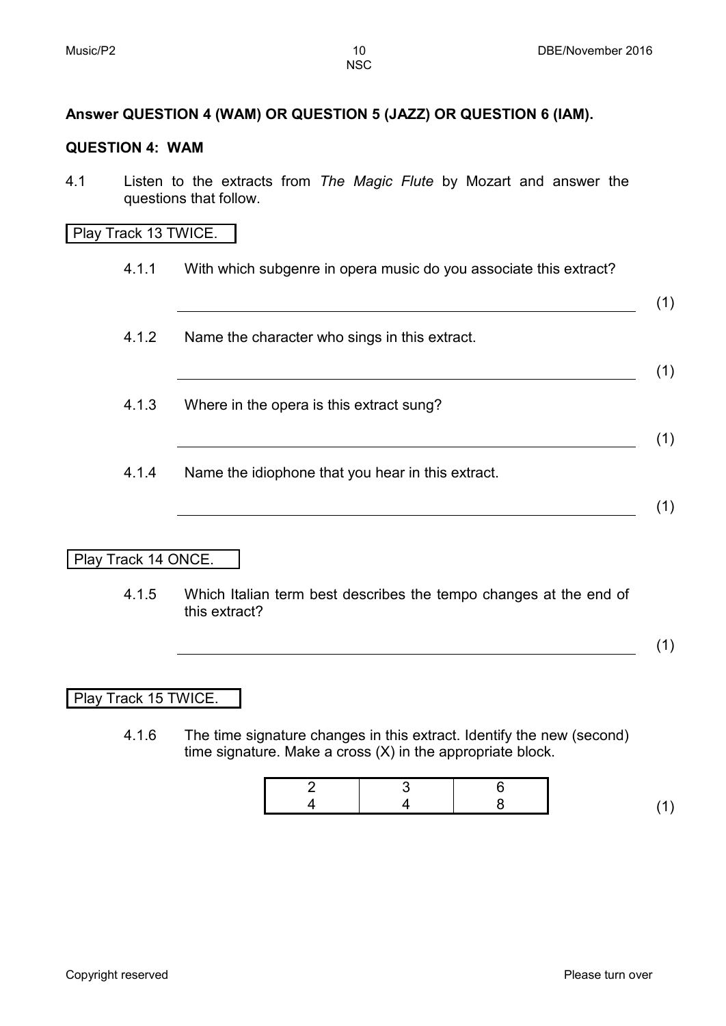# **Answer QUESTION 4 (WAM) OR QUESTION 5 (JAZZ) OR QUESTION 6 (IAM).**

#### **QUESTION 4: WAM**

4.1 Listen to the extracts from *The Magic Flute* by Mozart and answer the questions that follow.

#### Play Track 13 TWICE.

- 4.1.1 With which subgenre in opera music do you associate this extract? (1) 4.1.2 Name the character who sings in this extract. (1) 4.1.3 Where in the opera is this extract sung? (1) 4.1.4 Name the idiophone that you hear in this extract. (1) Play Track 14 ONCE.
	- 4.1.5 Which Italian term best describes the tempo changes at the end of this extract?

(1)

Play Track 15 TWICE.

4.1.6 The time signature changes in this extract. Identify the new (second) time signature. Make a cross (X) in the appropriate block.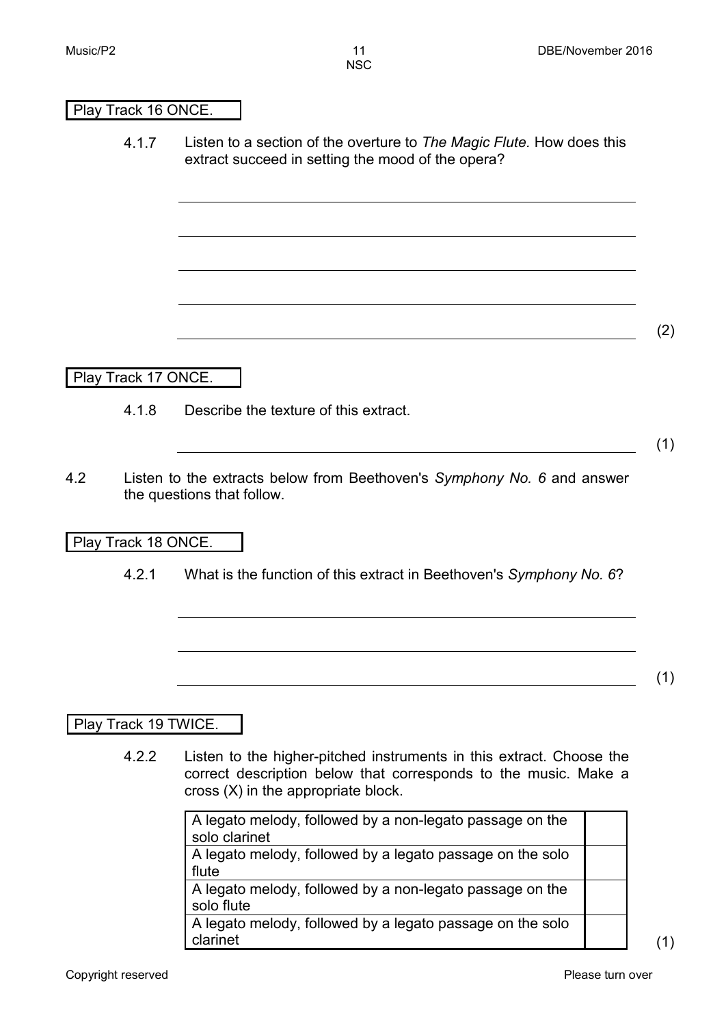#### Play Track 16 ONCE.

4.1.7 Listen to a section of the overture to *The Magic Flute.* How does this extract succeed in setting the mood of the opera?

#### Play Track 17 ONCE.

4.1.8 Describe the texture of this extract.

(1)

(2)

4.2 Listen to the extracts below from Beethoven's *Symphony No. 6* and answer the questions that follow.

#### Play Track 18 ONCE.

4.2.1 What is the function of this extract in Beethoven's *Symphony No. 6*?

(1)

#### Play Track 19 TWICE.

4.2.2 Listen to the higher-pitched instruments in this extract. Choose the correct description below that corresponds to the music. Make a cross (X) in the appropriate block.

| A legato melody, followed by a non-legato passage on the  |  |
|-----------------------------------------------------------|--|
| solo clarinet                                             |  |
| A legato melody, followed by a legato passage on the solo |  |
| flute                                                     |  |
| A legato melody, followed by a non-legato passage on the  |  |
| solo flute                                                |  |
| A legato melody, followed by a legato passage on the solo |  |
| clarinet                                                  |  |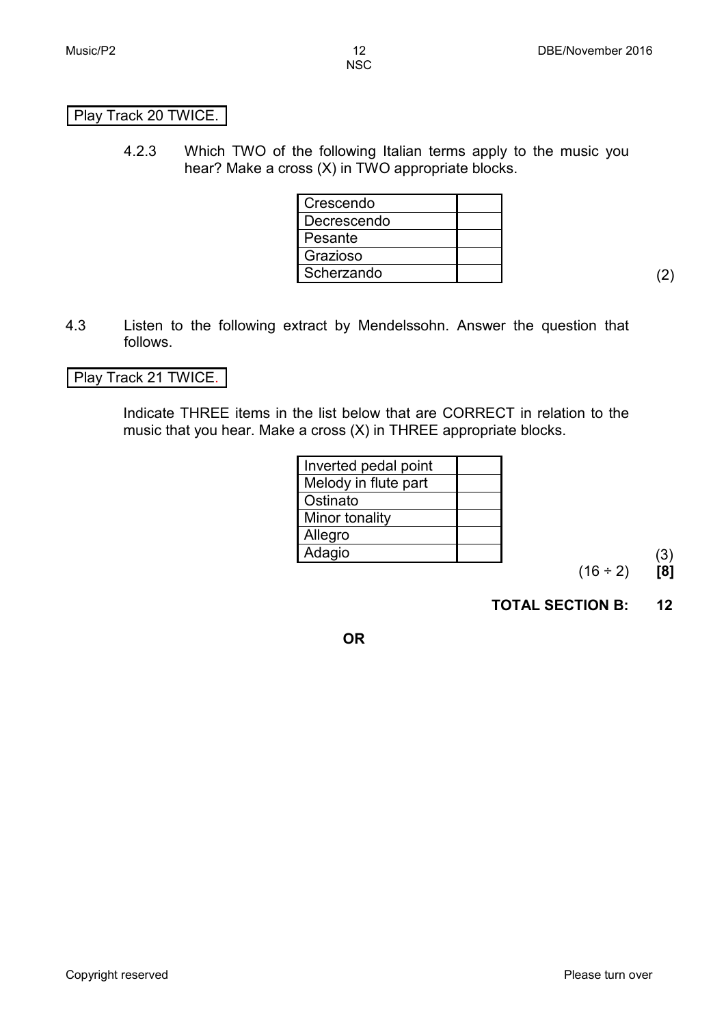Play Track 20 TWICE.

4.2.3 Which TWO of the following Italian terms apply to the music you hear? Make a cross (X) in TWO appropriate blocks.

| Crescendo   |  |
|-------------|--|
| Decrescendo |  |
| Pesante     |  |
| Grazioso    |  |
| Scherzando  |  |

4.3 Listen to the following extract by Mendelssohn. Answer the question that follows.

# Play Track 21 TWICE.

Indicate THREE items in the list below that are CORRECT in relation to the music that you hear. Make a cross (X) in THREE appropriate blocks.

| Inverted pedal point |  |
|----------------------|--|
| Melody in flute part |  |
| Ostinato             |  |
| Minor tonality       |  |
| Allegro              |  |
| Adagio               |  |

(16 ÷ 2) **[8]**

**TOTAL SECTION B: 12**

**OR**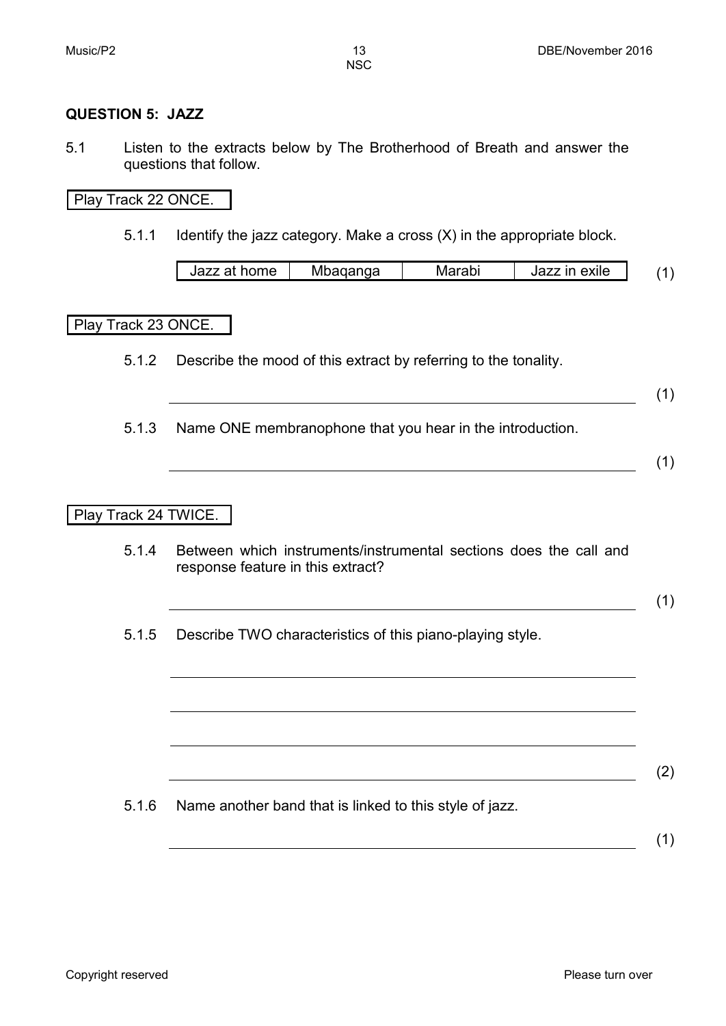#### **QUESTION 5: JAZZ**

5.1 Listen to the extracts below by The Brotherhood of Breath and answer the questions that follow.

#### Play Track 22 ONCE.

5.1.1 Identify the jazz category. Make a cross (X) in the appropriate block.

| 1277<br>home | aanga<br>ivit | .<br>av | . .<br>exile<br>ın<br>⊣az∠ |  |
|--------------|---------------|---------|----------------------------|--|
|              |               |         |                            |  |

#### Play Track 23 ONCE.

- 5.1.2 Describe the mood of this extract by referring to the tonality.
- (1)
- 5.1.3 Name ONE membranophone that you hear in the introduction.

(1)

# Play Track 24 TWICE.

5.1.4 Between which instruments/instrumental sections does the call and response feature in this extract?

(1)

5.1.5 Describe TWO characteristics of this piano-playing style.

5.1.6 Name another band that is linked to this style of jazz.

(1)

(2)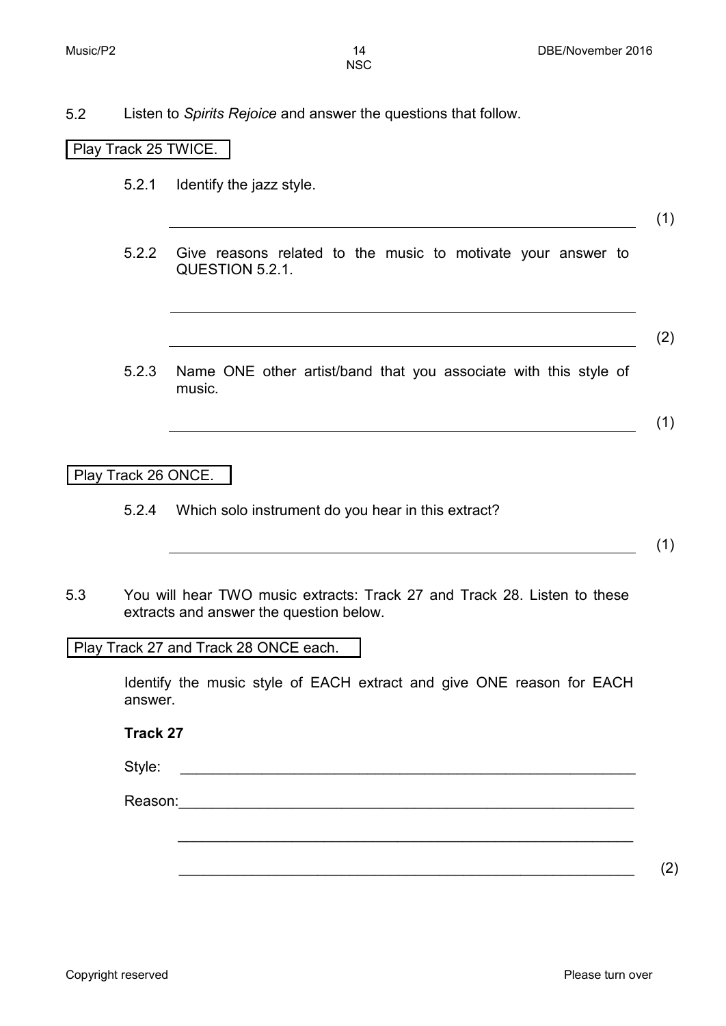5.2 Listen to *Spirits Rejoice* and answer the questions that follow.

# Play Track 25 TWICE.

- 5.2.1 Identify the jazz style.
- 5.2.2 Give reasons related to the music to motivate your answer to QUESTION 5.2.1.

(2)

(1)

(1)

5.2.3 Name ONE other artist/band that you associate with this style of music.

Play Track 26 ONCE.

5.2.4 Which solo instrument do you hear in this extract?

(1)

5.3 You will hear TWO music extracts: Track 27 and Track 28. Listen to these extracts and answer the question below.

Play Track 27 and Track 28 ONCE each.

Identify the music style of EACH extract and give ONE reason for EACH answer.

\_\_\_\_\_\_\_\_\_\_\_\_\_\_\_\_\_\_\_\_\_\_\_\_\_\_\_\_\_\_\_\_\_\_\_\_\_\_\_\_\_\_\_\_\_\_\_\_\_\_\_\_\_\_\_\_

**Track 27**

Style:

Reason:

 $\overline{\phantom{a}2}$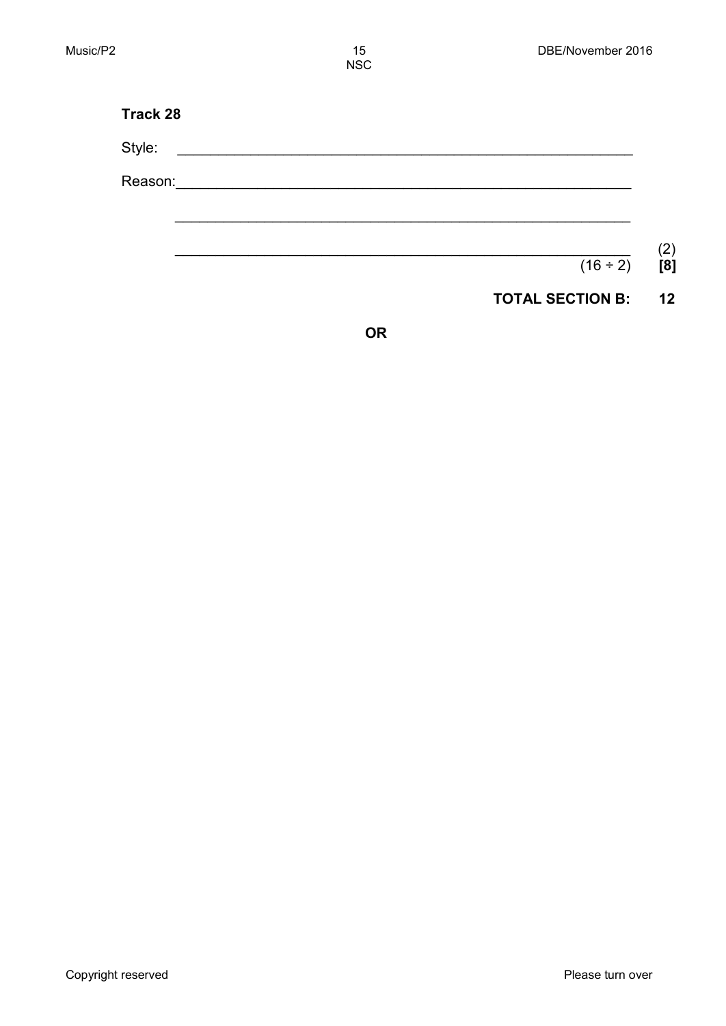| <b>Track 28</b> |               |
|-----------------|---------------|
| Style:          |               |
| Reason:         |               |
|                 |               |
|                 |               |
|                 | $(16 \div 2)$ |

**OR**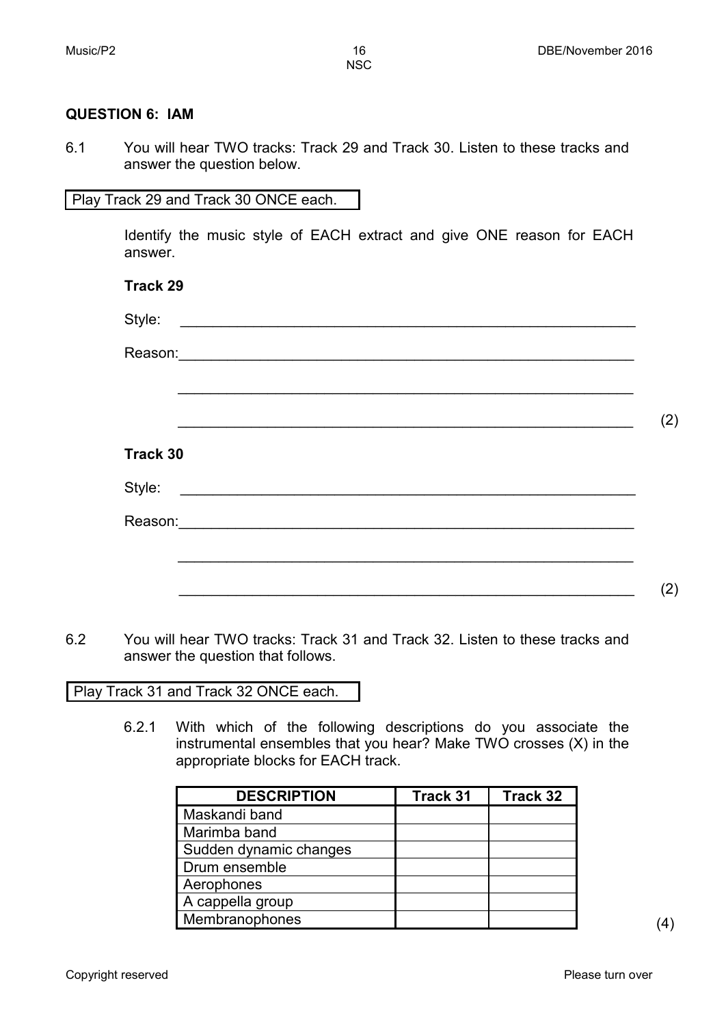#### **QUESTION 6: IAM**

6.1 You will hear TWO tracks: Track 29 and Track 30. Listen to these tracks and answer the question below.

#### Play Track 29 and Track 30 ONCE each.

Identify the music style of EACH extract and give ONE reason for EACH answer.

| <b>Track 29</b> |     |
|-----------------|-----|
| Style:          |     |
|                 |     |
|                 |     |
|                 | (2) |
| <b>Track 30</b> |     |
| Style:          |     |
|                 |     |
|                 |     |
|                 | (2) |
|                 |     |

6.2 You will hear TWO tracks: Track 31 and Track 32. Listen to these tracks and answer the question that follows.

Play Track 31 and Track 32 ONCE each.

6.2.1 With which of the following descriptions do you associate the instrumental ensembles that you hear? Make TWO crosses (X) in the appropriate blocks for EACH track.

| <b>DESCRIPTION</b>     | Track 31 | Track 32 |
|------------------------|----------|----------|
| Maskandi band          |          |          |
| Marimba band           |          |          |
| Sudden dynamic changes |          |          |
| Drum ensemble          |          |          |
| Aerophones             |          |          |
| A cappella group       |          |          |
| Membranophones         |          |          |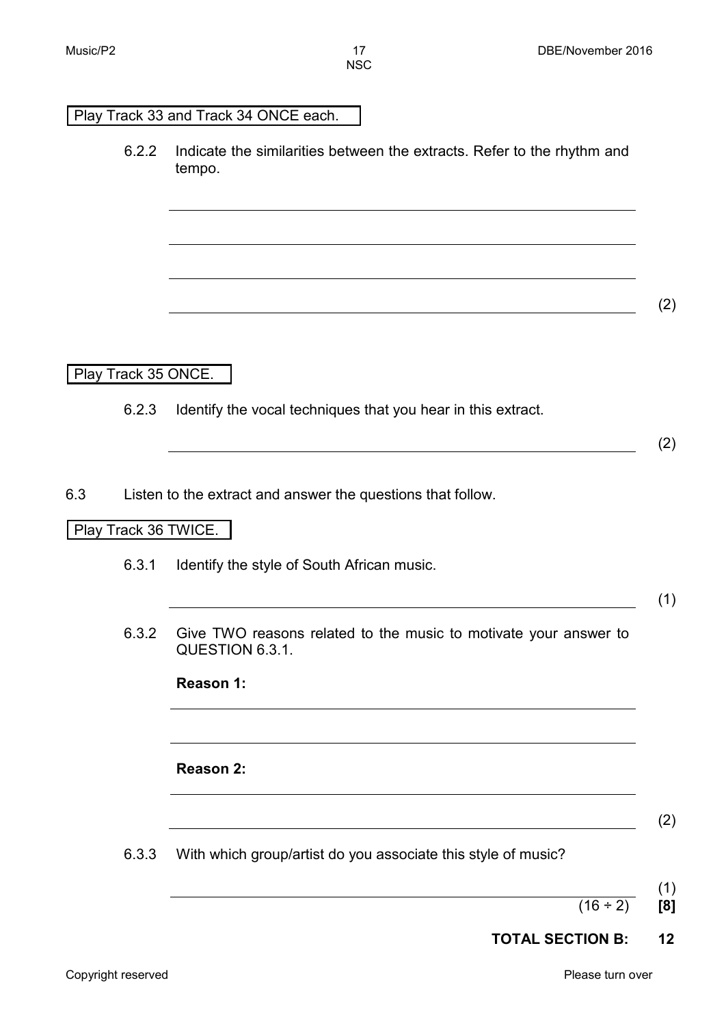## Play Track 33 and Track 34 ONCE each.

6.2.2 Indicate the similarities between the extracts. Refer to the rhythm and tempo.

(2)

Play Track 35 ONCE.

6.2.3 Identify the vocal techniques that you hear in this extract.

(2)

6.3 Listen to the extract and answer the questions that follow.

# Play Track 36 TWICE.

6.3.1 Identify the style of South African music.

(1)

6.3.2 Give TWO reasons related to the music to motivate your answer to QUESTION 6.3.1.

| Reason 1: |  |
|-----------|--|
|-----------|--|

# **Reason 2:**

- (2)
- 6.3.3 With which group/artist do you associate this style of music?
- (1)

 $(16 \div 2)$  [8]

**TOTAL SECTION B: 12**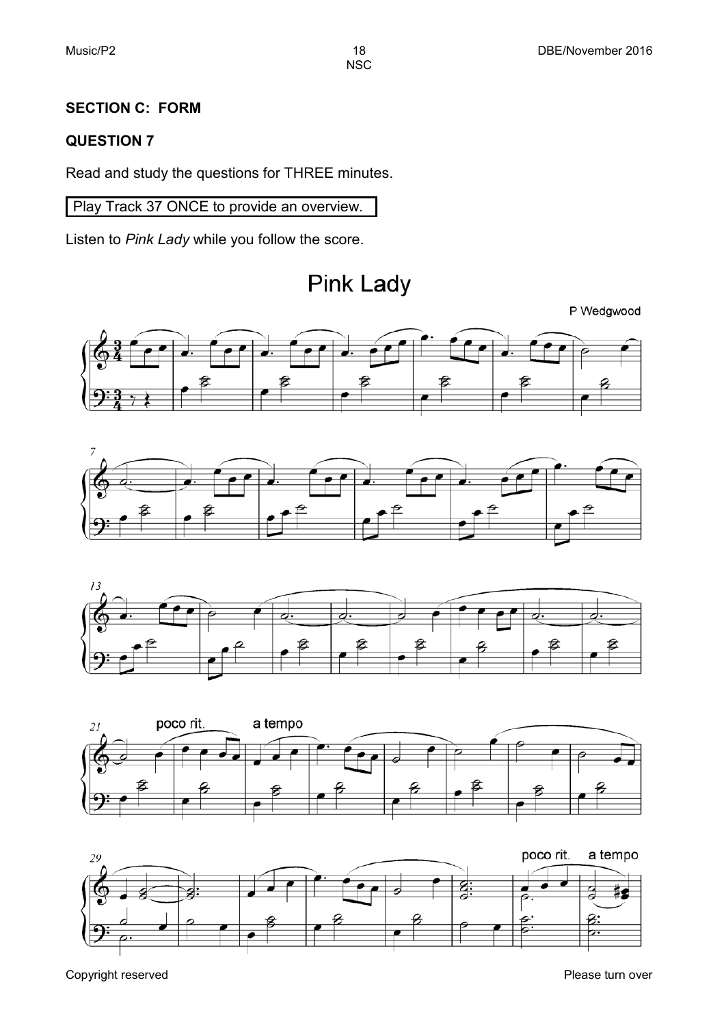# **SECTION C: FORM**

# **QUESTION 7**

Read and study the questions for THREE minutes.

Play Track 37 ONCE to provide an overview.

Listen to *Pink Lady* while you follow the score.

**Pink Lady** 













Copyright reserved **Please** turn over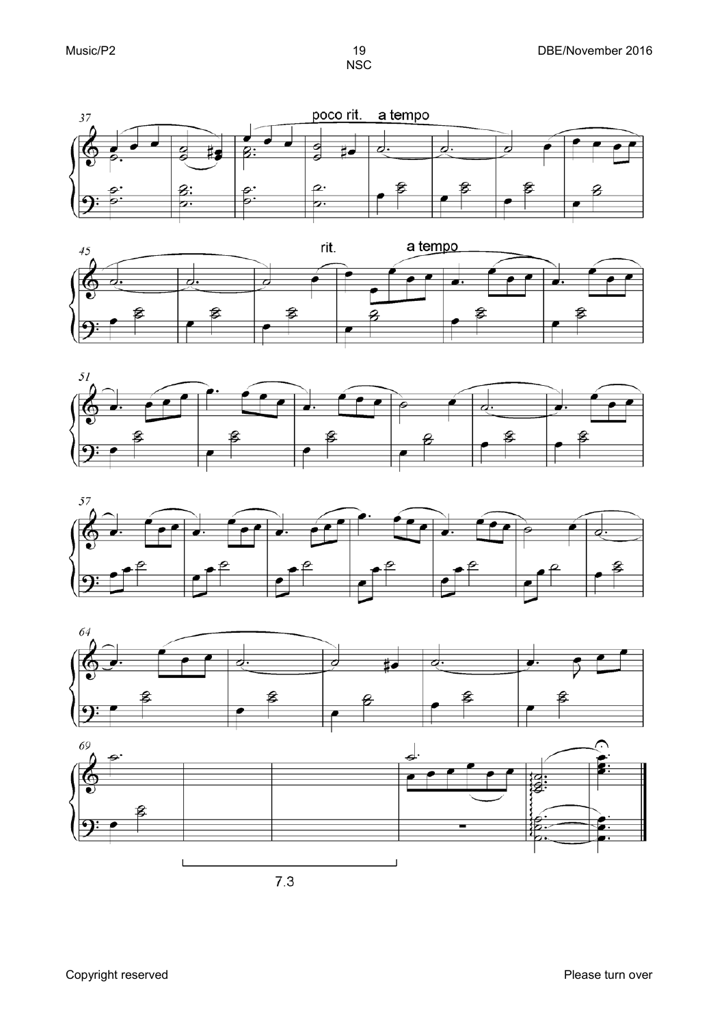









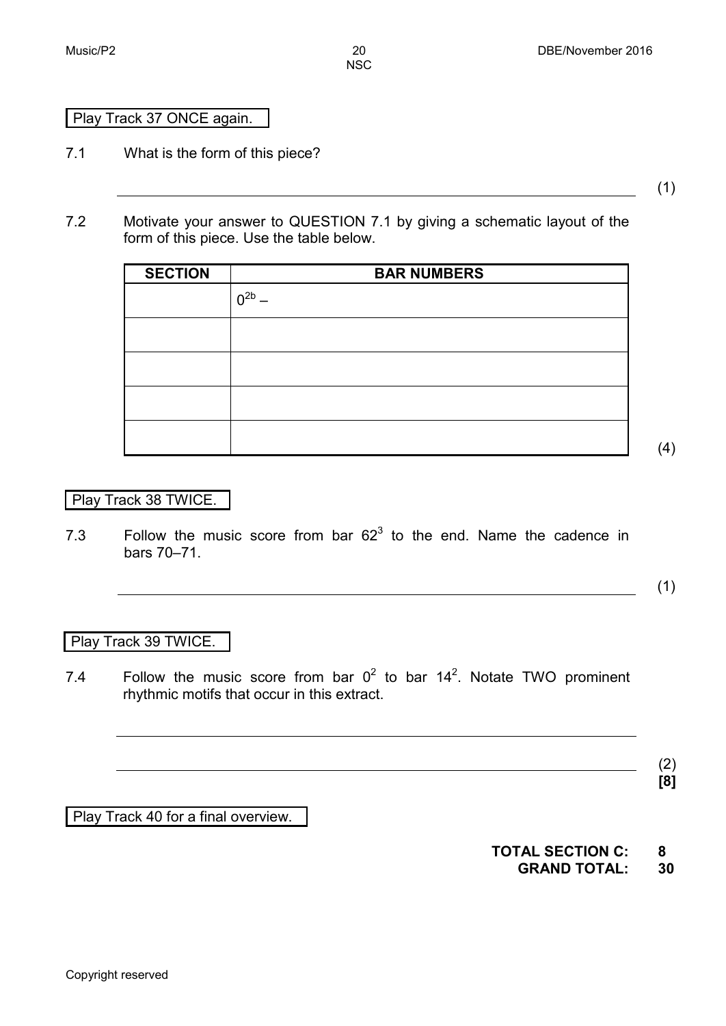# Play Track 37 ONCE again.

7.1 What is the form of this piece?

(1)

7.2 Motivate your answer to QUESTION 7.1 by giving a schematic layout of the form of this piece. Use the table below.

| <b>SECTION</b> | <b>BAR NUMBERS</b> |
|----------------|--------------------|
|                | $0^{2b}$           |
|                |                    |
|                |                    |
|                |                    |
|                |                    |

Play Track 38 TWICE.

7.3 Follow the music score from bar  $62<sup>3</sup>$  to the end. Name the cadence in bars 70–71.

(1)

(4)

# Play Track 39 TWICE.

7.4 • Follow the music score from bar  $0^2$  to bar  $14^2$ . Notate TWO prominent rhythmic motifs that occur in this extract.

> (2) **[8]**

Play Track 40 for a final overview.

**TOTAL SECTION C: 8 GRAND TOTAL: 30**